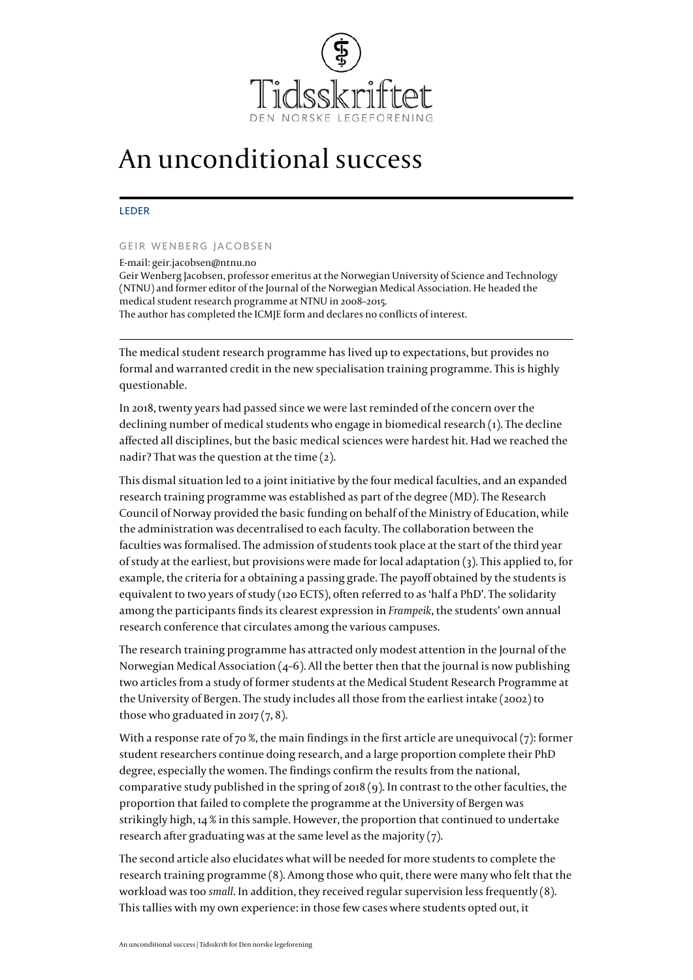

## An unconditional success

## LEDER

## GEIR WENBERG JACOBSEN

E-mail: [geir.jacobsen@ntnu.no](mailto:geir.jacobsen@ntnu.no) Geir Wenberg Jacobsen, professor emeritus at the Norwegian University of Science and Technology (NTNU) and former editor of the Journal of the Norwegian Medical Association. He headed the medical student research programme at NTNU in 2008–2015. The author has completed the [ICMJE form](http://www.icmje.org/coi_disclosure.pdf) and declares no conflicts of interest.

The medical student research programme has lived up to expectations, but provides no formal and warranted credit in the new specialisation training programme. This is highly questionable.

In 2018, twenty years had passed since we were last reminded of the concern over the declining number of medical students who engage in biomedical research ([1](#page--1-0)). The decline affected all disciplines, but the basic medical sciences were hardest hit. Had we reached the nadir? That was the question at the time [\(2\)](#page--1-0).

This dismal situation led to a joint initiative by the four medical faculties, and an expanded research training programme was established as part of the degree (MD). The Research Council of Norway provided the basic funding on behalf of the Ministry of Education, while the administration was decentralised to each faculty. The collaboration between the faculties was formalised. The admission of students took place at the start of the third year of study at the earliest, but provisions were made for local adaptation  $(3)$  $(3)$ . This applied to, for example, the criteria for a obtaining a passing grade. The payoff obtained by the students is equivalent to two years of study (120 ECTS), often referred to as 'half a PhD'. The solidarity among the participants finds its clearest expression in *Frampeik*, the students' own annual research conference that circulates among the various campuses.

The research training programme has attracted only modest attention in the Journal of the Norwegian Medical Association  $(4-6)$ . All the better then that the journal is now publishing two articles from a study of former students at the Medical Student Research Programme at the University of Bergen. The study includes all those from the earliest intake (2002) to those who graduated in 2017  $(7, 8)$  $(7, 8)$  $(7, 8)$  $(7, 8)$ .

With a response rate of 70 %, the main findings in the first article are unequivocal [\(7\)](#page--1-0): former student researchers continue doing research, and a large proportion complete their PhD degree, especially the women. The findings confirm the results from the national, comparative study published in the spring of 2018 [\(9\)](#page--1-0). In contrast to the other faculties, the proportion that failed to complete the programme at the University of Bergen was strikingly high,  $14\%$  in this sample. However, the proportion that continued to undertake research after graduating was at the same level as the majority ([7\)](#page--1-0).

The second article also elucidates what will be needed for more students to complete the research training programme [\(8](#page--1-0)). Among those who quit, there were many who felt that the workload was too *small*. In addition, they received regular supervision less frequently ([8\)](#page--1-0). This tallies with my own experience: in those few cases where students opted out, it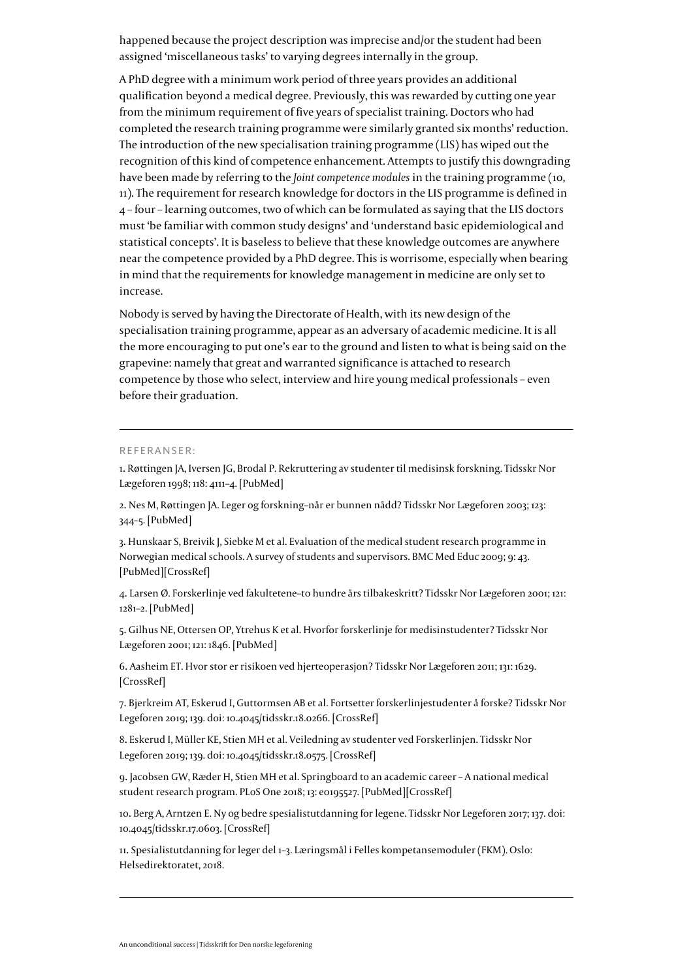happened because the project description was imprecise and/or the student had been assigned 'miscellaneous tasks' to varying degrees internally in the group.

A PhD degree with a minimum work period of three years provides an additional qualification beyond a medical degree. Previously, this was rewarded by cutting one year from the minimum requirement of five years of specialist training. Doctors who had completed the research training programme were similarly granted six months' reduction. The introduction of the new specialisation training programme (LIS) has wiped out the recognition of this kind of competence enhancement. Attempts to justify this downgrading have been made by referring to the *Joint competence modules* in the training programme ([10,](#page--1-0) [11](#page--1-0)). The requirement for research knowledge for doctors in the LIS programme is defined in 4 – four – learning outcomes, two of which can be formulated as saying that the LIS doctors must 'be familiar with common study designs' and 'understand basic epidemiological and statistical concepts'. It is baseless to believe that these knowledge outcomes are anywhere near the competence provided by a PhD degree. This is worrisome, especially when bearing in mind that the requirements for knowledge management in medicine are only set to increase.

Nobody is served by having the Directorate of Health, with its new design of the specialisation training programme, appear as an adversary of academic medicine. It is all the more encouraging to put one's ear to the ground and listen to what is being said on the grapevine: namely that great and warranted significance is attached to research competence by those who select, interview and hire young medical professionals – even before their graduation.

## REFERANSER:

1. Røttingen JA, Iversen JG, Brodal P. Rekruttering av studenter til medisinsk forskning. Tidsskr Nor Lægeforen 1998; 118: 4111–4. [[PubMed\]](http://www.ncbi.nlm.nih.gov/entrez/query.fcgi?cmd=Retrieve&db=PubMed&list_uids=9844518&dopt=Abstract)

2. Nes M, Røttingen JA. Leger og forskning–når er bunnen nådd? Tidsskr Nor Lægeforen 2003; 123: 344–5. [[PubMed\]](http://www.ncbi.nlm.nih.gov/entrez/query.fcgi?cmd=Retrieve&db=PubMed&list_uids=12640906&dopt=Abstract)

3. Hunskaar S, Breivik J, Siebke M et al. [Evaluation of the medical student research programme in](http://dx.doi.org/10.1186/1472-6920-9-43) [Norwegian medical schools. A survey of students and supervisors.](http://dx.doi.org/10.1186/1472-6920-9-43) BMC Med Educ 2009; 9: 43. [[PubMed\]](http://www.ncbi.nlm.nih.gov/entrez/query.fcgi?cmd=Retrieve&db=PubMed&list_uids=19602226&dopt=Abstract)[[CrossRef](http://dx.doi.org/10.1186/1472-6920-9-43)]

4. Larsen Ø. Forskerlinje ved fakultetene–to hundre års tilbakeskritt? Tidsskr Nor Lægeforen 2001; 121: 1281–2. [\[PubMed](http://www.ncbi.nlm.nih.gov/entrez/query.fcgi?cmd=Retrieve&db=PubMed&list_uids=11402762&dopt=Abstract)]

5. Gilhus NE, Ottersen OP, Ytrehus K et al. Hvorfor forskerlinje for medisinstudenter? Tidsskr Nor Lægeforen 2001; 121: 1846. [[PubMed\]](http://www.ncbi.nlm.nih.gov/entrez/query.fcgi?cmd=Retrieve&db=PubMed&list_uids=11464704&dopt=Abstract)

6. Aasheim ET. [Hvor stor er risikoen ved hjerteoperasjon?](http://dx.doi.org/10.4045/tidsskr.11.0728) Tidsskr Nor Lægeforen 2011; 131: 1629. [[CrossRef](http://dx.doi.org/10.4045/tidsskr.11.0728)]

7. Bjerkreim AT, Eskerud I, Guttormsen AB et al. [Fortsetter forskerlinjestudenter å forske?](http://dx.doi.org/10.4045/tidsskr.18.0266) Tidsskr Nor Legeforen 2019; 139. doi: 10.4045/tidsskr.18.0266. [\[CrossRef](http://dx.doi.org/10.4045/tidsskr.18.0266)]

8. Eskerud I, Müller KE, Stien MH et al. [Veiledning av studenter ved Forskerlinjen.](http://dx.doi.org/10.4045/tidsskr.18.0575) Tidsskr Nor Legeforen 2019; 139. doi: 10.4045/tidsskr.18.0575. [\[CrossRef\]](http://dx.doi.org/10.4045/tidsskr.18.0575)

9. Jacobsen GW, Ræder H, Stien MH et al. [Springboard to an academic career – A national medical](http://dx.doi.org/10.1371/journal.pone.0195527) [student research program.](http://dx.doi.org/10.1371/journal.pone.0195527) PLoS One 2018; 13: e0195527. [[PubMed\]](http://www.ncbi.nlm.nih.gov/entrez/query.fcgi?cmd=Retrieve&db=PubMed&list_uids=29708980&dopt=Abstract)[[CrossRef](http://dx.doi.org/10.1371/journal.pone.0195527)]

10. Berg A, Arntzen E. [Ny og bedre spesialistutdanning for legene.](http://dx.doi.org/10.4045/tidsskr.17.0603) Tidsskr Nor Legeforen 2017; 137. doi: 10.4045/tidsskr.17.0603. [[CrossRef](http://dx.doi.org/10.4045/tidsskr.17.0603)]

11. Spesialistutdanning for leger del 1–3. Læringsmål i Felles kompetansemoduler (FKM). Oslo: Helsedirektoratet, 2018.